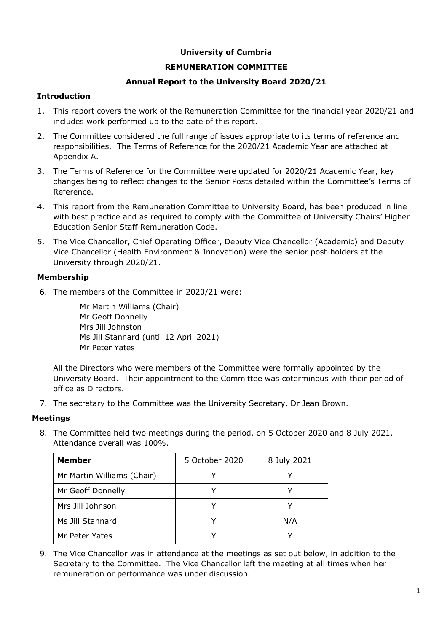# **University of Cumbria**

# **REMUNERATION COMMITTEE**

# **Annual Report to the University Board 2020/21**

## **Introduction**

- 1. This report covers the work of the Remuneration Committee for the financial year 2020/21 and includes work performed up to the date of this report.
- 2. The Committee considered the full range of issues appropriate to its terms of reference and responsibilities. The Terms of Reference for the 2020/21 Academic Year are attached at Appendix A.
- 3. The Terms of Reference for the Committee were updated for 2020/21 Academic Year, key changes being to reflect changes to the Senior Posts detailed within the Committee's Terms of Reference.
- 4. This report from the Remuneration Committee to University Board, has been produced in line with best practice and as required to comply with the Committee of University Chairs' Higher Education Senior Staff Remuneration Code.
- 5. The Vice Chancellor, Chief Operating Officer, Deputy Vice Chancellor (Academic) and Deputy Vice Chancellor (Health Environment & Innovation) were the senior post-holders at the University through 2020/21.

#### **Membership**

6. The members of the Committee in 2020/21 were:

Mr Martin Williams (Chair) Mr Geoff Donnelly Mrs Jill Johnston Ms Jill Stannard (until 12 April 2021) Mr Peter Yates

All the Directors who were members of the Committee were formally appointed by the University Board. Their appointment to the Committee was coterminous with their period of office as Directors.

7. The secretary to the Committee was the University Secretary, Dr Jean Brown.

# **Meetings**

8. The Committee held two meetings during the period, on 5 October 2020 and 8 July 2021. Attendance overall was 100%.

| <b>Member</b>              | 5 October 2020 | 8 July 2021 |  |
|----------------------------|----------------|-------------|--|
| Mr Martin Williams (Chair) |                |             |  |
| Mr Geoff Donnelly          |                |             |  |
| Mrs Jill Johnson           |                |             |  |
| Ms Jill Stannard           |                | N/A         |  |
| Mr Peter Yates             |                |             |  |

9. The Vice Chancellor was in attendance at the meetings as set out below, in addition to the Secretary to the Committee. The Vice Chancellor left the meeting at all times when her remuneration or performance was under discussion.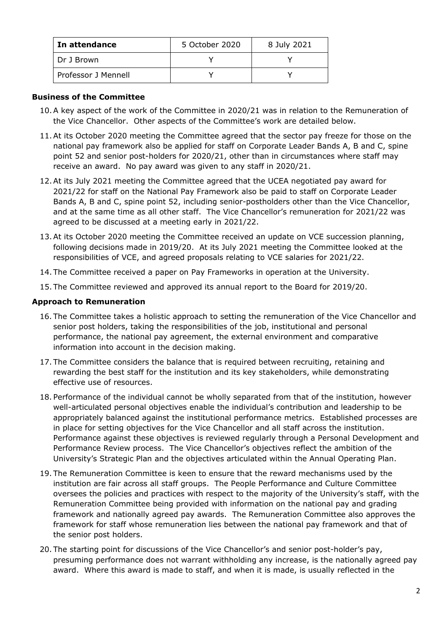| In attendance       | 5 October 2020 | 8 July 2021 |
|---------------------|----------------|-------------|
| Dr J Brown          |                |             |
| Professor J Mennell |                |             |

#### **Business of the Committee**

- 10.A key aspect of the work of the Committee in 2020/21 was in relation to the Remuneration of the Vice Chancellor. Other aspects of the Committee's work are detailed below.
- 11.At its October 2020 meeting the Committee agreed that the sector pay freeze for those on the national pay framework also be applied for staff on Corporate Leader Bands A, B and C, spine point 52 and senior post-holders for 2020/21, other than in circumstances where staff may receive an award. No pay award was given to any staff in 2020/21.
- 12.At its July 2021 meeting the Committee agreed that the UCEA negotiated pay award for 2021/22 for staff on the National Pay Framework also be paid to staff on Corporate Leader Bands A, B and C, spine point 52, including senior-postholders other than the Vice Chancellor, and at the same time as all other staff. The Vice Chancellor's remuneration for 2021/22 was agreed to be discussed at a meeting early in 2021/22.
- 13.At its October 2020 meeting the Committee received an update on VCE succession planning, following decisions made in 2019/20. At its July 2021 meeting the Committee looked at the responsibilities of VCE, and agreed proposals relating to VCE salaries for 2021/22.
- 14.The Committee received a paper on Pay Frameworks in operation at the University.
- 15.The Committee reviewed and approved its annual report to the Board for 2019/20.

#### **Approach to Remuneration**

- 16. The Committee takes a holistic approach to setting the remuneration of the Vice Chancellor and senior post holders, taking the responsibilities of the job, institutional and personal performance, the national pay agreement, the external environment and comparative information into account in the decision making.
- 17. The Committee considers the balance that is required between recruiting, retaining and rewarding the best staff for the institution and its key stakeholders, while demonstrating effective use of resources.
- 18. Performance of the individual cannot be wholly separated from that of the institution, however well-articulated personal objectives enable the individual's contribution and leadership to be appropriately balanced against the institutional performance metrics. Established processes are in place for setting objectives for the Vice Chancellor and all staff across the institution. Performance against these objectives is reviewed regularly through a Personal Development and Performance Review process. The Vice Chancellor's objectives reflect the ambition of the University's Strategic Plan and the objectives articulated within the Annual Operating Plan.
- 19. The Remuneration Committee is keen to ensure that the reward mechanisms used by the institution are fair across all staff groups. The People Performance and Culture Committee oversees the policies and practices with respect to the majority of the University's staff, with the Remuneration Committee being provided with information on the national pay and grading framework and nationally agreed pay awards. The Remuneration Committee also approves the framework for staff whose remuneration lies between the national pay framework and that of the senior post holders.
- 20. The starting point for discussions of the Vice Chancellor's and senior post-holder's pay, presuming performance does not warrant withholding any increase, is the nationally agreed pay award. Where this award is made to staff, and when it is made, is usually reflected in the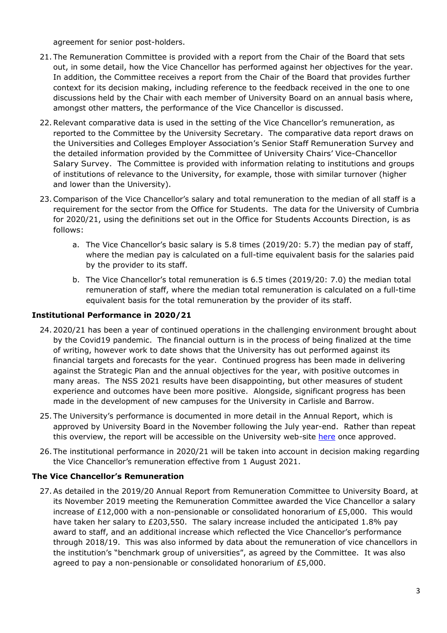agreement for senior post-holders.

- 21. The Remuneration Committee is provided with a report from the Chair of the Board that sets out, in some detail, how the Vice Chancellor has performed against her objectives for the year. In addition, the Committee receives a report from the Chair of the Board that provides further context for its decision making, including reference to the feedback received in the one to one discussions held by the Chair with each member of University Board on an annual basis where, amongst other matters, the performance of the Vice Chancellor is discussed.
- 22.Relevant comparative data is used in the setting of the Vice Chancellor's remuneration, as reported to the Committee by the University Secretary. The comparative data report draws on the Universities and Colleges Employer Association's Senior Staff Remuneration Survey and the detailed information provided by the Committee of University Chairs' Vice-Chancellor Salary Survey. The Committee is provided with information relating to institutions and groups of institutions of relevance to the University, for example, those with similar turnover (higher and lower than the University).
- 23.Comparison of the Vice Chancellor's salary and total remuneration to the median of all staff is a requirement for the sector from the Office for Students. The data for the University of Cumbria for 2020/21, using the definitions set out in the Office for Students Accounts Direction, is as follows:
	- a. The Vice Chancellor's basic salary is 5.8 times (2019/20: 5.7) the median pay of staff, where the median pay is calculated on a full-time equivalent basis for the salaries paid by the provider to its staff.
	- b. The Vice Chancellor's total remuneration is 6.5 times (2019/20: 7.0) the median total remuneration of staff, where the median total remuneration is calculated on a full-time equivalent basis for the total remuneration by the provider of its staff.

# **Institutional Performance in 2020/21**

- 24. 2020/21 has been a year of continued operations in the challenging environment brought about by the Covid19 pandemic. The financial outturn is in the process of being finalized at the time of writing, however work to date shows that the University has out performed against its financial targets and forecasts for the year. Continued progress has been made in delivering against the Strategic Plan and the annual objectives for the year, with positive outcomes in many areas. The NSS 2021 results have been disappointing, but other measures of student experience and outcomes have been more positive. Alongside, significant progress has been made in the development of new campuses for the University in Carlisle and Barrow.
- 25. The University's performance is documented in more detail in the Annual Report, which is approved by University Board in the November following the July year-end. Rather than repeat this overview, the report will be accessible on the University web-site [here](https://www.cumbria.ac.uk/about/publications/) once approved.
- 26.The institutional performance in 2020/21 will be taken into account in decision making regarding the Vice Chancellor's remuneration effective from 1 August 2021.

# **The Vice Chancellor's Remuneration**

27.As detailed in the 2019/20 Annual Report from Remuneration Committee to University Board, at its November 2019 meeting the Remuneration Committee awarded the Vice Chancellor a salary increase of £12,000 with a non-pensionable or consolidated honorarium of £5,000. This would have taken her salary to £203,550. The salary increase included the anticipated 1.8% pay award to staff, and an additional increase which reflected the Vice Chancellor's performance through 2018/19. This was also informed by data about the remuneration of vice chancellors in the institution's "benchmark group of universities", as agreed by the Committee. It was also agreed to pay a non-pensionable or consolidated honorarium of £5,000.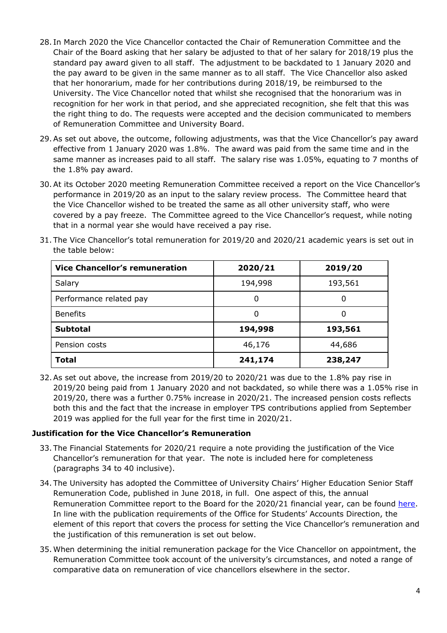- 28. In March 2020 the Vice Chancellor contacted the Chair of Remuneration Committee and the Chair of the Board asking that her salary be adjusted to that of her salary for 2018/19 plus the standard pay award given to all staff. The adjustment to be backdated to 1 January 2020 and the pay award to be given in the same manner as to all staff. The Vice Chancellor also asked that her honorarium, made for her contributions during 2018/19, be reimbursed to the University. The Vice Chancellor noted that whilst she recognised that the honorarium was in recognition for her work in that period, and she appreciated recognition, she felt that this was the right thing to do. The requests were accepted and the decision communicated to members of Remuneration Committee and University Board.
- 29.As set out above, the outcome, following adjustments, was that the Vice Chancellor's pay award effective from 1 January 2020 was 1.8%. The award was paid from the same time and in the same manner as increases paid to all staff. The salary rise was 1.05%, equating to 7 months of the 1.8% pay award.
- 30.At its October 2020 meeting Remuneration Committee received a report on the Vice Chancellor's performance in 2019/20 as an input to the salary review process. The Committee heard that the Vice Chancellor wished to be treated the same as all other university staff, who were covered by a pay freeze. The Committee agreed to the Vice Chancellor's request, while noting that in a normal year she would have received a pay rise.

|                  | Vice Chancellor's remuneration                                                                    |  | $7020/21$ | $7010/20$ |  |  |
|------------------|---------------------------------------------------------------------------------------------------|--|-----------|-----------|--|--|
| the table below: |                                                                                                   |  |           |           |  |  |
|                  | 31. The Vice Chancellor's total remuneration for 2019/20 and 2020/21 academic years is set out in |  |           |           |  |  |

| <b>Vice Chancellor's remuneration</b> | 2020/21 | 2019/20 |
|---------------------------------------|---------|---------|
| Salary                                | 194,998 | 193,561 |
| Performance related pay               |         | 0       |
| <b>Benefits</b>                       |         | 0       |
| <b>Subtotal</b>                       | 194,998 | 193,561 |
| Pension costs                         | 46,176  | 44,686  |
| <b>Total</b>                          | 241,174 | 238,247 |

32.As set out above, the increase from 2019/20 to 2020/21 was due to the 1.8% pay rise in 2019/20 being paid from 1 January 2020 and not backdated, so while there was a 1.05% rise in 2019/20, there was a further 0.75% increase in 2020/21. The increased pension costs reflects both this and the fact that the increase in employer TPS contributions applied from September 2019 was applied for the full year for the first time in 2020/21.

# **Justification for the Vice Chancellor's Remuneration**

- 33. The Financial Statements for 2020/21 require a note providing the justification of the Vice Chancellor's remuneration for that year. The note is included here for completeness (paragraphs 34 to 40 inclusive).
- 34. The University has adopted the Committee of University Chairs' Higher Education Senior Staff Remuneration Code, published in June 2018, in full. One aspect of this, the annual Remuneration Committee report to the Board for the 2020/21 financial year, can be found [here.](https://www.cumbria.ac.uk/about/publications/) In line with the publication requirements of the Office for Students' Accounts Direction, the element of this report that covers the process for setting the Vice Chancellor's remuneration and the justification of this remuneration is set out below.
- 35.When determining the initial remuneration package for the Vice Chancellor on appointment, the Remuneration Committee took account of the university's circumstances, and noted a range of comparative data on remuneration of vice chancellors elsewhere in the sector.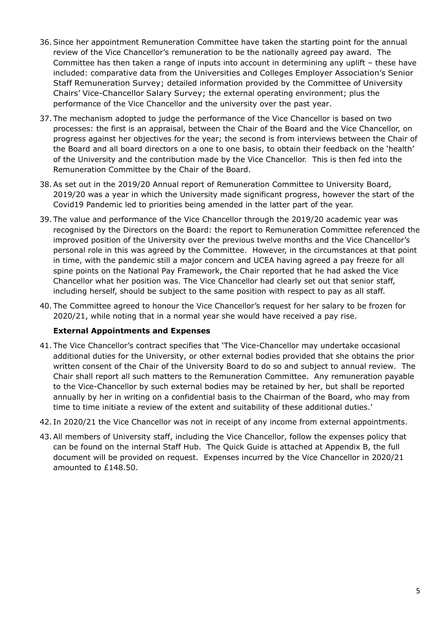- 36.Since her appointment Remuneration Committee have taken the starting point for the annual review of the Vice Chancellor's remuneration to be the nationally agreed pay award. The Committee has then taken a range of inputs into account in determining any uplift – these have included: comparative data from the Universities and Colleges Employer Association's Senior Staff Remuneration Survey; detailed information provided by the Committee of University Chairs' Vice-Chancellor Salary Survey; the external operating environment; plus the performance of the Vice Chancellor and the university over the past year.
- 37. The mechanism adopted to judge the performance of the Vice Chancellor is based on two processes: the first is an appraisal, between the Chair of the Board and the Vice Chancellor, on progress against her objectives for the year; the second is from interviews between the Chair of the Board and all board directors on a one to one basis, to obtain their feedback on the 'health' of the University and the contribution made by the Vice Chancellor. This is then fed into the Remuneration Committee by the Chair of the Board.
- 38.As set out in the 2019/20 Annual report of Remuneration Committee to University Board, 2019/20 was a year in which the University made significant progress, however the start of the Covid19 Pandemic led to priorities being amended in the latter part of the year.
- 39. The value and performance of the Vice Chancellor through the 2019/20 academic year was recognised by the Directors on the Board: the report to Remuneration Committee referenced the improved position of the University over the previous twelve months and the Vice Chancellor's personal role in this was agreed by the Committee. However, in the circumstances at that point in time, with the pandemic still a major concern and UCEA having agreed a pay freeze for all spine points on the National Pay Framework, the Chair reported that he had asked the Vice Chancellor what her position was. The Vice Chancellor had clearly set out that senior staff, including herself, should be subject to the same position with respect to pay as all staff.
- 40. The Committee agreed to honour the Vice Chancellor's request for her salary to be frozen for 2020/21, while noting that in a normal year she would have received a pay rise.

# **External Appointments and Expenses**

- 41. The Vice Chancellor's contract specifies that 'The Vice-Chancellor may undertake occasional additional duties for the University, or other external bodies provided that she obtains the prior written consent of the Chair of the University Board to do so and subject to annual review. The Chair shall report all such matters to the Remuneration Committee. Any remuneration payable to the Vice-Chancellor by such external bodies may be retained by her, but shall be reported annually by her in writing on a confidential basis to the Chairman of the Board, who may from time to time initiate a review of the extent and suitability of these additional duties.'
- 42. In 2020/21 the Vice Chancellor was not in receipt of any income from external appointments.
- 43.All members of University staff, including the Vice Chancellor, follow the expenses policy that can be found on the internal Staff Hub. The Quick Guide is attached at Appendix B, the full document will be provided on request. Expenses incurred by the Vice Chancellor in 2020/21 amounted to £148.50.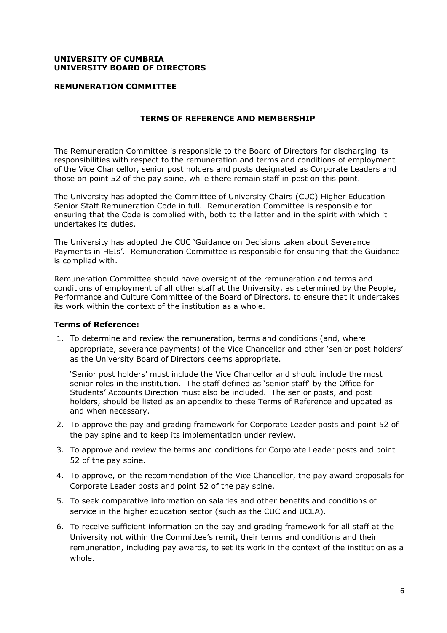#### **UNIVERSITY OF CUMBRIA UNIVERSITY BOARD OF DIRECTORS**

## **REMUNERATION COMMITTEE**

#### **TERMS OF REFERENCE AND MEMBERSHIP**

The Remuneration Committee is responsible to the Board of Directors for discharging its responsibilities with respect to the remuneration and terms and conditions of employment of the Vice Chancellor, senior post holders and posts designated as Corporate Leaders and those on point 52 of the pay spine, while there remain staff in post on this point.

The University has adopted the Committee of University Chairs (CUC) Higher Education Senior Staff Remuneration Code in full. Remuneration Committee is responsible for ensuring that the Code is complied with, both to the letter and in the spirit with which it undertakes its duties.

The University has adopted the CUC 'Guidance on Decisions taken about Severance Payments in HEIs'. Remuneration Committee is responsible for ensuring that the Guidance is complied with.

Remuneration Committee should have oversight of the remuneration and terms and conditions of employment of all other staff at the University, as determined by the People, Performance and Culture Committee of the Board of Directors, to ensure that it undertakes its work within the context of the institution as a whole.

#### **Terms of Reference:**

1. To determine and review the remuneration, terms and conditions (and, where appropriate, severance payments) of the Vice Chancellor and other 'senior post holders' as the University Board of Directors deems appropriate.

'Senior post holders' must include the Vice Chancellor and should include the most senior roles in the institution. The staff defined as 'senior staff' by the Office for Students' Accounts Direction must also be included. The senior posts, and post holders, should be listed as an appendix to these Terms of Reference and updated as and when necessary.

- 2. To approve the pay and grading framework for Corporate Leader posts and point 52 of the pay spine and to keep its implementation under review.
- 3. To approve and review the terms and conditions for Corporate Leader posts and point 52 of the pay spine.
- 4. To approve, on the recommendation of the Vice Chancellor, the pay award proposals for Corporate Leader posts and point 52 of the pay spine.
- 5. To seek comparative information on salaries and other benefits and conditions of service in the higher education sector (such as the CUC and UCEA).
- 6. To receive sufficient information on the pay and grading framework for all staff at the University not within the Committee's remit, their terms and conditions and their remuneration, including pay awards, to set its work in the context of the institution as a whole.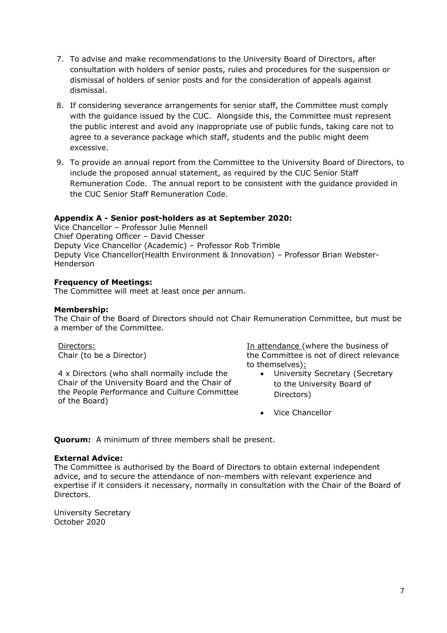- 7. To advise and make recommendations to the University Board of Directors, after consultation with holders of senior posts, rules and procedures for the suspension or dismissal of holders of senior posts and for the consideration of appeals against dismissal.
- 8. If considering severance arrangements for senior staff, the Committee must comply with the guidance issued by the CUC. Alongside this, the Committee must represent the public interest and avoid any inappropriate use of public funds, taking care not to agree to a severance package which staff, students and the public might deem excessive.
- 9. To provide an annual report from the Committee to the University Board of Directors, to include the proposed annual statement, as required by the CUC Senior Staff Remuneration Code. The annual report to be consistent with the guidance provided in the CUC Senior Staff Remuneration Code.

# **Appendix A - Senior post-holders as at September 2020:**

Vice Chancellor – Professor Julie Mennell Chief Operating Officer – David Chesser Deputy Vice Chancellor (Academic) – Professor Rob Trimble Deputy Vice Chancellor(Health Environment & Innovation) – Professor Brian Webster-Henderson

#### **Frequency of Meetings:**

The Committee will meet at least once per annum.

#### **Membership:**

The Chair of the Board of Directors should not Chair Remuneration Committee, but must be a member of the Committee.

Directors: Chair (to be a Director)

4 x Directors (who shall normally include the Chair of the University Board and the Chair of the People Performance and Culture Committee of the Board)

In attendance (where the business of the Committee is not of direct relevance to themselves):

- University Secretary (Secretary to the University Board of Directors)
- Vice Chancellor

**Quorum:** A minimum of three members shall be present.

#### **External Advice:**

The Committee is authorised by the Board of Directors to obtain external independent advice, and to secure the attendance of non-members with relevant experience and expertise if it considers it necessary, normally in consultation with the Chair of the Board of Directors.

University Secretary October 2020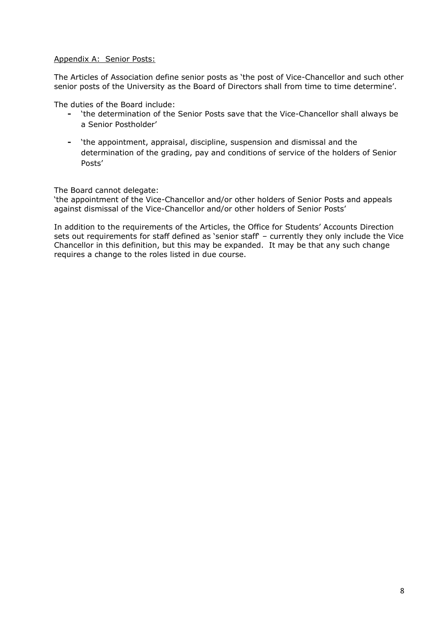## Appendix A: Senior Posts:

The Articles of Association define senior posts as 'the post of Vice-Chancellor and such other senior posts of the University as the Board of Directors shall from time to time determine'.

The duties of the Board include:

- **-** 'the determination of the Senior Posts save that the Vice-Chancellor shall always be a Senior Postholder'
- **-** 'the appointment, appraisal, discipline, suspension and dismissal and the determination of the grading, pay and conditions of service of the holders of Senior Posts'

The Board cannot delegate:

'the appointment of the Vice-Chancellor and/or other holders of Senior Posts and appeals against dismissal of the Vice-Chancellor and/or other holders of Senior Posts'

In addition to the requirements of the Articles, the Office for Students' Accounts Direction sets out requirements for staff defined as 'senior staff' – currently they only include the Vice Chancellor in this definition, but this may be expanded. It may be that any such change requires a change to the roles listed in due course.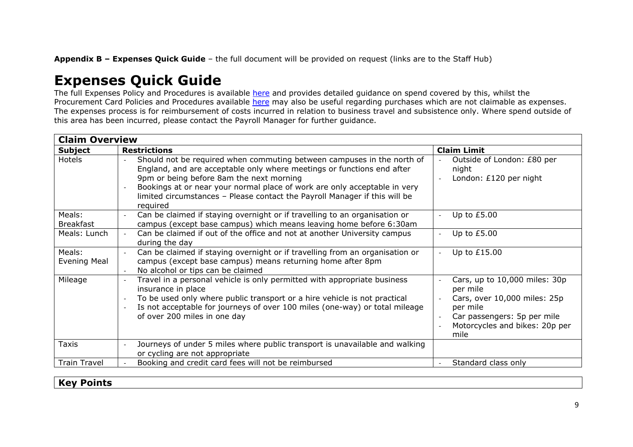**Appendix B – Expenses Quick Guide** – the full document will be provided on request (links are to the Staff Hub)

# **Expenses Quick Guide**

The full Expenses Policy and Procedures is available [here](https://unicumbriaac.sharepoint.com/:w:/r/sites/CL/_layouts/15/Doc.aspx?sourcedoc=%7B1BE536C1-A339-4E83-9CB8-6D441B4C2791%7D&file=Staff%20Expenses%20Policy%20%26%20Procedure.docx&action=default&mobileredirect=true&DefaultItemOpen=1) and provides detailed guidance on spend covered by this, whilst the Procurement Card Policies and Procedures available [here](https://unicumbriaac.sharepoint.com/:w:/r/sites/CL/_layouts/15/Doc.aspx?sourcedoc=%7B0E32869F-510A-4600-8713-0E31D9B23439%7D&file=Procurement%20Cards%20Policy%20and%20Procedures.docx&action=default&mobileredirect=true&DefaultItemOpen=1) may also be useful regarding purchases which are not claimable as expenses. The expenses process is for reimbursement of costs incurred in relation to business travel and subsistence only. Where spend outside of this area has been incurred, please contact the Payroll Manager for further guidance.

| <b>Claim Overview</b>         |                                                                                                                                                                                                                                                                                                                                                                     |                                                                                                                                                                                            |  |  |  |
|-------------------------------|---------------------------------------------------------------------------------------------------------------------------------------------------------------------------------------------------------------------------------------------------------------------------------------------------------------------------------------------------------------------|--------------------------------------------------------------------------------------------------------------------------------------------------------------------------------------------|--|--|--|
| <b>Subject</b>                | <b>Restrictions</b>                                                                                                                                                                                                                                                                                                                                                 | <b>Claim Limit</b>                                                                                                                                                                         |  |  |  |
| Hotels                        | Should not be required when commuting between campuses in the north of<br>England, and are acceptable only where meetings or functions end after<br>9pm or being before 8am the next morning<br>Bookings at or near your normal place of work are only acceptable in very<br>limited circumstances - Please contact the Payroll Manager if this will be<br>required | Outside of London: £80 per<br>night<br>London: £120 per night                                                                                                                              |  |  |  |
| Meals:<br><b>Breakfast</b>    | Can be claimed if staying overnight or if travelling to an organisation or<br>campus (except base campus) which means leaving home before 6:30am                                                                                                                                                                                                                    | Up to £5.00                                                                                                                                                                                |  |  |  |
| Meals: Lunch                  | Can be claimed if out of the office and not at another University campus<br>during the day                                                                                                                                                                                                                                                                          | Up to $£5.00$                                                                                                                                                                              |  |  |  |
| Meals:<br><b>Evening Meal</b> | Can be claimed if staying overnight or if travelling from an organisation or<br>campus (except base campus) means returning home after 8pm<br>No alcohol or tips can be claimed                                                                                                                                                                                     | Up to £15.00                                                                                                                                                                               |  |  |  |
| Mileage                       | Travel in a personal vehicle is only permitted with appropriate business<br>insurance in place<br>To be used only where public transport or a hire vehicle is not practical<br>Is not acceptable for journeys of over 100 miles (one-way) or total mileage<br>of over 200 miles in one day                                                                          | Cars, up to 10,000 miles: 30p<br>per mile<br>Cars, over 10,000 miles: 25p<br>per mile<br>Car passengers: 5p per mile<br>$\overline{\phantom{a}}$<br>Motorcycles and bikes: 20p per<br>mile |  |  |  |
| Taxis                         | Journeys of under 5 miles where public transport is unavailable and walking<br>or cycling are not appropriate                                                                                                                                                                                                                                                       |                                                                                                                                                                                            |  |  |  |
| <b>Train Travel</b>           | Booking and credit card fees will not be reimbursed                                                                                                                                                                                                                                                                                                                 | Standard class only                                                                                                                                                                        |  |  |  |

# **Key Points**